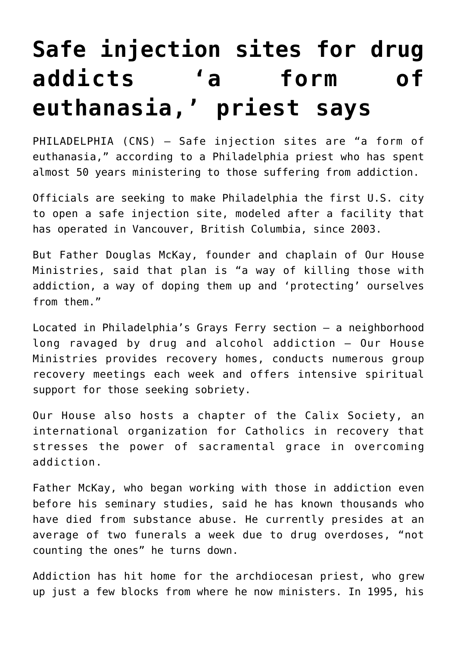## **[Safe injection sites for drug](https://www.osvnews.com/amp/2019/10/17/safe-injection-sites-for-drug-addicts-a-form-of-euthanasia-priest-says/) [addicts 'a form of](https://www.osvnews.com/amp/2019/10/17/safe-injection-sites-for-drug-addicts-a-form-of-euthanasia-priest-says/) [euthanasia,' priest says](https://www.osvnews.com/amp/2019/10/17/safe-injection-sites-for-drug-addicts-a-form-of-euthanasia-priest-says/)**

PHILADELPHIA (CNS) — Safe injection sites are "a form of euthanasia," according to a Philadelphia priest who has spent almost 50 years ministering to those suffering from addiction.

Officials are seeking to make Philadelphia the first U.S. city to open a safe injection site, modeled after a facility that has operated in Vancouver, British Columbia, since 2003.

But Father Douglas McKay, founder and chaplain of Our House Ministries, said that plan is "a way of killing those with addiction, a way of doping them up and 'protecting' ourselves from them."

Located in Philadelphia's Grays Ferry section — a neighborhood long ravaged by drug and alcohol addiction — Our House Ministries provides recovery homes, conducts numerous group recovery meetings each week and offers intensive spiritual support for those seeking sobriety.

Our House also hosts a chapter of the Calix Society, an international organization for Catholics in recovery that stresses the power of sacramental grace in overcoming addiction.

Father McKay, who began working with those in addiction even before his seminary studies, said he has known thousands who have died from substance abuse. He currently presides at an average of two funerals a week due to drug overdoses, "not counting the ones" he turns down.

Addiction has hit home for the archdiocesan priest, who grew up just a few blocks from where he now ministers. In 1995, his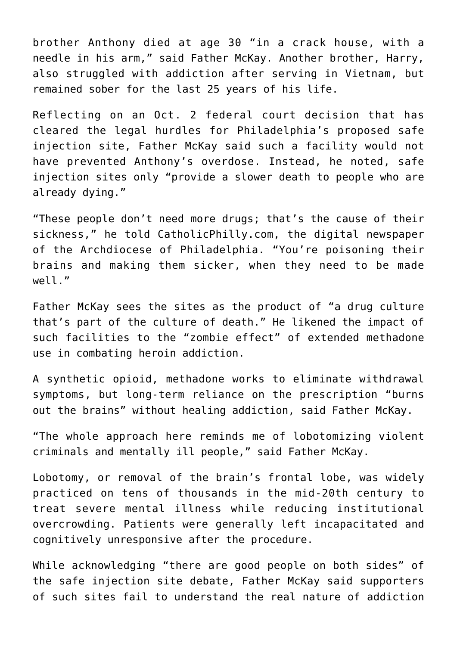brother Anthony died at age 30 "in a crack house, with a needle in his arm," said Father McKay. Another brother, Harry, also struggled with addiction after serving in Vietnam, but remained sober for the last 25 years of his life.

Reflecting on an Oct. 2 federal court decision that has cleared the legal hurdles for Philadelphia's proposed safe injection site, Father McKay said such a facility would not have prevented Anthony's overdose. Instead, he noted, safe injection sites only "provide a slower death to people who are already dying."

"These people don't need more drugs; that's the cause of their sickness," he told CatholicPhilly.com, the digital newspaper of the Archdiocese of Philadelphia. "You're poisoning their brains and making them sicker, when they need to be made well."

Father McKay sees the sites as the product of "a drug culture that's part of the culture of death." He likened the impact of such facilities to the "zombie effect" of extended methadone use in combating heroin addiction.

A synthetic opioid, methadone works to eliminate withdrawal symptoms, but long-term reliance on the prescription "burns out the brains" without healing addiction, said Father McKay.

"The whole approach here reminds me of lobotomizing violent criminals and mentally ill people," said Father McKay.

Lobotomy, or removal of the brain's frontal lobe, was widely practiced on tens of thousands in the mid-20th century to treat severe mental illness while reducing institutional overcrowding. Patients were generally left incapacitated and cognitively unresponsive after the procedure.

While acknowledging "there are good people on both sides" of the safe injection site debate, Father McKay said supporters of such sites fail to understand the real nature of addiction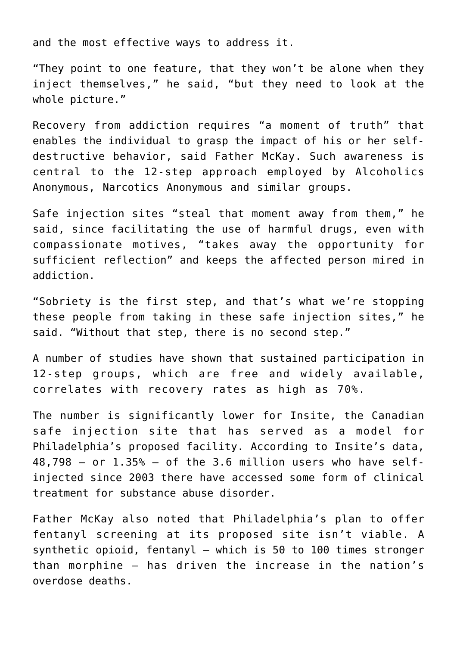and the most effective ways to address it.

"They point to one feature, that they won't be alone when they inject themselves," he said, "but they need to look at the whole picture."

Recovery from addiction requires "a moment of truth" that enables the individual to grasp the impact of his or her selfdestructive behavior, said Father McKay. Such awareness is central to the 12-step approach employed by Alcoholics Anonymous, Narcotics Anonymous and similar groups.

Safe injection sites "steal that moment away from them," he said, since facilitating the use of harmful drugs, even with compassionate motives, "takes away the opportunity for sufficient reflection" and keeps the affected person mired in addiction.

"Sobriety is the first step, and that's what we're stopping these people from taking in these safe injection sites," he said. "Without that step, there is no second step."

A number of studies have shown that sustained participation in 12-step groups, which are free and widely available, correlates with recovery rates as high as 70%.

The number is significantly lower for Insite, the Canadian safe injection site that has served as a model for Philadelphia's proposed facility. According to Insite's data, 48,798 — or 1.35% — of the 3.6 million users who have selfinjected since 2003 there have accessed some form of clinical treatment for substance abuse disorder.

Father McKay also noted that Philadelphia's plan to offer fentanyl screening at its proposed site isn't viable. A synthetic opioid, fentanyl — which is 50 to 100 times stronger than morphine — has driven the increase in the nation's overdose deaths.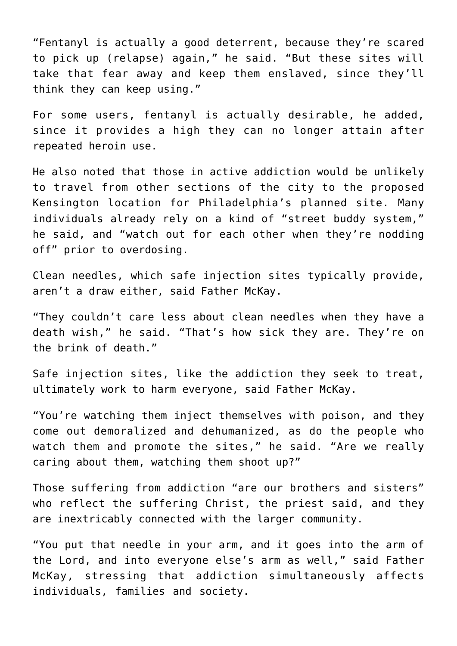"Fentanyl is actually a good deterrent, because they're scared to pick up (relapse) again," he said. "But these sites will take that fear away and keep them enslaved, since they'll think they can keep using."

For some users, fentanyl is actually desirable, he added, since it provides a high they can no longer attain after repeated heroin use.

He also noted that those in active addiction would be unlikely to travel from other sections of the city to the proposed Kensington location for Philadelphia's planned site. Many individuals already rely on a kind of "street buddy system," he said, and "watch out for each other when they're nodding off" prior to overdosing.

Clean needles, which safe injection sites typically provide, aren't a draw either, said Father McKay.

"They couldn't care less about clean needles when they have a death wish," he said. "That's how sick they are. They're on the brink of death."

Safe injection sites, like the addiction they seek to treat, ultimately work to harm everyone, said Father McKay.

"You're watching them inject themselves with poison, and they come out demoralized and dehumanized, as do the people who watch them and promote the sites," he said. "Are we really caring about them, watching them shoot up?"

Those suffering from addiction "are our brothers and sisters" who reflect the suffering Christ, the priest said, and they are inextricably connected with the larger community.

"You put that needle in your arm, and it goes into the arm of the Lord, and into everyone else's arm as well," said Father McKay, stressing that addiction simultaneously affects individuals, families and society.